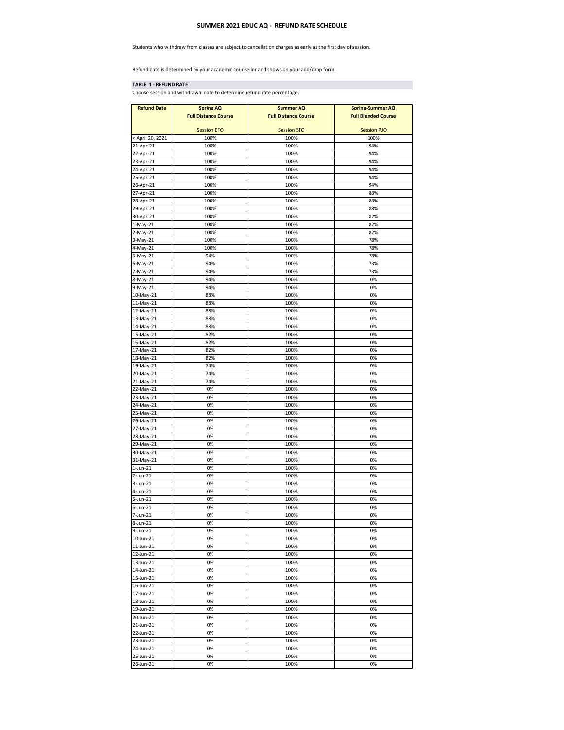| <b>Refund Date</b>          | <b>Spring AQ</b>            | <b>Summer AQ</b>            | <b>Spring-Summer AQ</b>    |
|-----------------------------|-----------------------------|-----------------------------|----------------------------|
|                             | <b>Full Distance Course</b> | <b>Full Distance Course</b> | <b>Full Blended Course</b> |
|                             |                             |                             |                            |
|                             | <b>Session EFO</b>          | <b>Session SFO</b>          | <b>Session PJO</b>         |
| < April 20, 2021            | 100%                        | 100%                        | 100%                       |
| 21-Apr-21                   | 100%                        | 100%                        | 94%                        |
| 22-Apr-21                   | 100%                        | 100%<br>100%                | 94%                        |
| 23-Apr-21<br>24-Apr-21      | 100%<br>100%                | 100%                        | 94%<br>94%                 |
| 25-Apr-21                   | 100%                        | 100%                        | 94%                        |
| 26-Apr-21                   | 100%                        | 100%                        | 94%                        |
| 27-Apr-21                   | 100%                        | 100%                        | 88%                        |
| 28-Apr-21                   | 100%                        | 100%                        | 88%                        |
| 29-Apr-21                   | 100%                        | 100%                        | 88%                        |
| 30-Apr-21                   | 100%                        | 100%                        | 82%                        |
| $1-May-21$                  | 100%                        | 100%                        | 82%                        |
| $2-May-21$                  | 100%                        | 100%                        | 82%                        |
| $3-May-21$                  | 100%                        | 100%                        | 78%                        |
| 4-May-21                    | 100%                        | 100%                        | 78%                        |
| 5-May-21                    | 94%                         | 100%                        | 78%                        |
| $6$ -May-21                 | 94%                         | 100%                        | 73%                        |
| 7-May-21                    | 94%                         | 100%                        | 73%                        |
| 8-May-21                    | 94%                         | 100%                        | 0%                         |
| $9-May-21$                  | 94%                         | 100%                        | 0%                         |
| 10-May-21                   | 88%                         | 100%                        | 0%                         |
| 11-May-21                   | 88%                         | 100%                        | 0%                         |
| 12-May-21                   | 88%<br>88%                  | 100%<br>100%                | 0%<br>0%                   |
| 13-May-21<br>14-May-21      | 88%                         | 100%                        | 0%                         |
| 15-May-21                   | 82%                         | 100%                        | 0%                         |
| 16-May-21                   | 82%                         | 100%                        | 0%                         |
| 17-May-21                   | 82%                         | 100%                        | 0%                         |
| 18-May-21                   | 82%                         | 100%                        | 0%                         |
| 19-May-21                   | 74%                         | 100%                        | 0%                         |
| 20-May-21                   | 74%                         | 100%                        | 0%                         |
| 21-May-21                   | 74%                         | 100%                        | 0%                         |
| 22-May-21                   | 0%                          | 100%                        | 0%                         |
| 23-May-21                   | 0%                          | 100%                        | 0%                         |
| 24-May-21                   | 0%                          | 100%                        | 0%                         |
| 25-May-21                   | 0%                          | 100%                        | 0%                         |
| 26-May-21                   | 0%                          | 100%                        | 0%                         |
| 27-May-21                   | 0%                          | 100%                        | 0%                         |
| 28-May-21                   | 0%                          | 100%                        | 0%                         |
| 29-May-21                   | 0%                          | 100%                        | 0%                         |
| 30-May-21                   | 0%<br>0%                    | 100%<br>100%                | 0%<br>0%                   |
| 31-May-21<br>$1$ -Jun- $21$ | 0%                          | 100%                        | 0%                         |
| $2$ -Jun-21                 | 0%                          | 100%                        | 0%                         |
| 3-Jun-21                    | 0%                          | 100%                        | 0%                         |
| 4-Jun-21                    | 0%                          | 100%                        | 0%                         |
| 5-Jun-21                    | 0%                          | 100%                        | 0%                         |
| $6$ -Jun-21                 | 0%                          | 100%                        | 0%                         |
| 7-Jun-21                    | 0%                          | 100%                        | 0%                         |
| 8-Jun-21                    | 0%                          | 100%                        | 0%                         |
| 9-Jun-21                    | 0%                          | 100%                        | 0%                         |
| 10-Jun-21                   | 0%                          | 100%                        | 0%                         |
| $11$ -Jun-21                | 0%                          | 100%                        | 0%                         |
| 12-Jun-21                   | 0%                          | 100%                        | 0%                         |
| 13-Jun-21                   | 0%                          | 100%                        | 0%                         |
| 14-Jun-21                   | 0%                          | 100%                        | 0%                         |
| 15-Jun-21                   | 0%                          | 100%                        | 0%                         |
| 16-Jun-21                   | 0%                          | 100%                        | 0%                         |
| 17-Jun-21                   | 0%                          | 100%                        | 0%                         |
| 18-Jun-21                   | 0%                          | 100%                        | 0%                         |
| 19-Jun-21                   | 0%                          | 100%                        | 0%                         |
| 20-Jun-21<br>21-Jun-21      | 0%<br>0%                    | 100%<br>100%                | 0%<br>0%                   |
| 22-Jun-21                   | 0%                          | 100%                        | 0%                         |
| 23-Jun-21                   | 0%                          | 100%                        | 0%                         |
| 24-Jun-21                   | 0%                          | 100%                        | 0%                         |
| 25-Jun-21                   | 0%                          | 100%                        | 0%                         |
| 26-Jun-21                   | 0%                          | 100%                        | 0%                         |

Refund date is determined by your academic counsellor and shows on your add/drop form.

Students who withdraw from classes are subject to cancellation charges as early as the first day of session.

## **SUMMER 2021 EDUC AQ - REFUND RATE SCHEDULE**

Choose session and withdrawal date to determine refund rate percentage.

## **TABLE 1 - REFUND RATE**